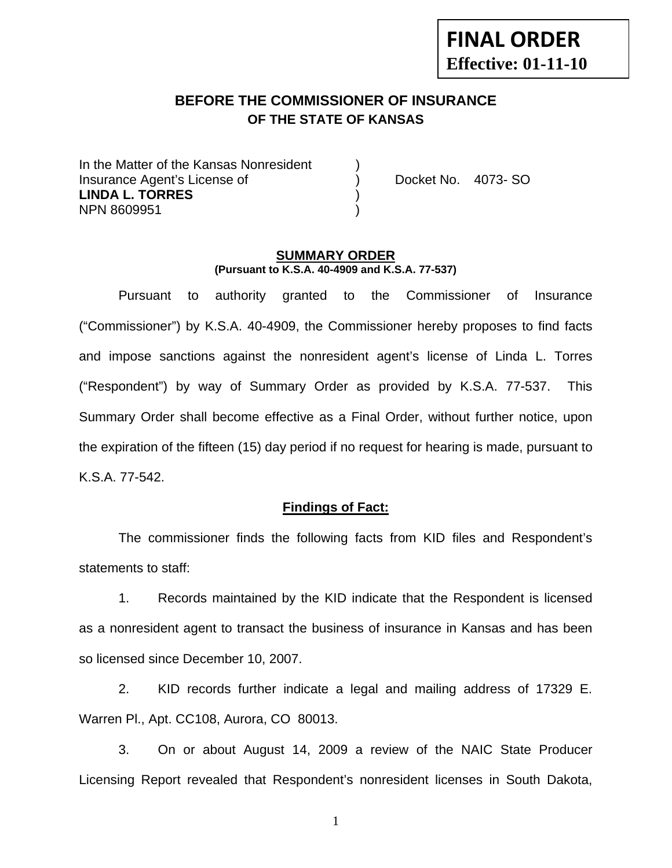# **FINAL ORDER Effective: 01-11-10**

# **BEFORE THE COMMISSIONER OF INSURANCE OF THE STATE OF KANSAS**

In the Matter of the Kansas Nonresident Insurance Agent's License of ) Docket No. 4073- SO **LINDA L. TORRES** ) NPN 8609951 )

#### **SUMMARY ORDER (Pursuant to K.S.A. 40-4909 and K.S.A. 77-537)**

 Pursuant to authority granted to the Commissioner of Insurance ("Commissioner") by K.S.A. 40-4909, the Commissioner hereby proposes to find facts and impose sanctions against the nonresident agent's license of Linda L. Torres ("Respondent") by way of Summary Order as provided by K.S.A. 77-537. This Summary Order shall become effective as a Final Order, without further notice, upon the expiration of the fifteen (15) day period if no request for hearing is made, pursuant to K.S.A. 77-542.

#### **Findings of Fact:**

 The commissioner finds the following facts from KID files and Respondent's statements to staff:

 1. Records maintained by the KID indicate that the Respondent is licensed as a nonresident agent to transact the business of insurance in Kansas and has been so licensed since December 10, 2007.

 2. KID records further indicate a legal and mailing address of 17329 E. Warren Pl., Apt. CC108, Aurora, CO 80013.

 3. On or about August 14, 2009 a review of the NAIC State Producer Licensing Report revealed that Respondent's nonresident licenses in South Dakota,

1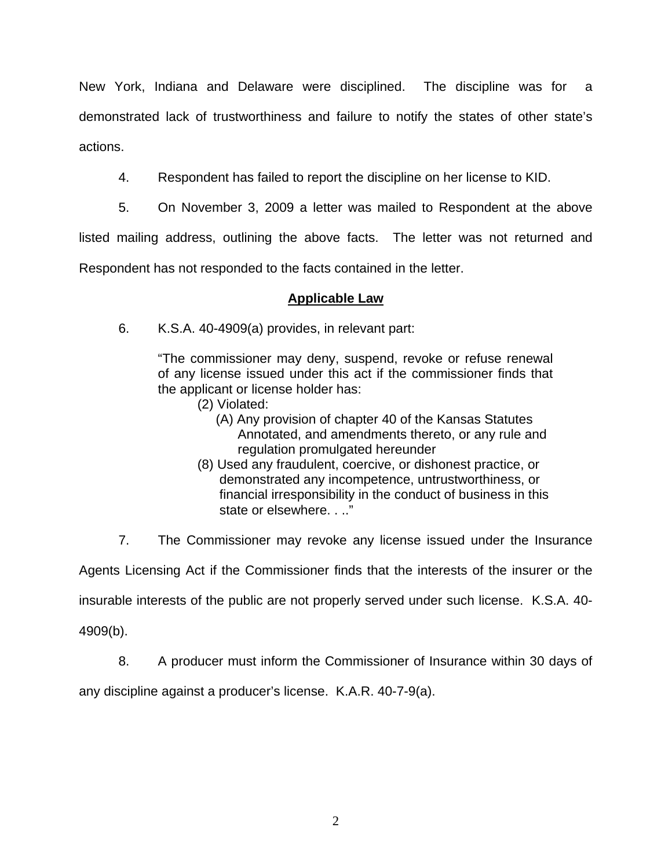New York, Indiana and Delaware were disciplined. The discipline was for a demonstrated lack of trustworthiness and failure to notify the states of other state's actions.

- 4. Respondent has failed to report the discipline on her license to KID.
- 5. On November 3, 2009 a letter was mailed to Respondent at the above

listed mailing address, outlining the above facts. The letter was not returned and

Respondent has not responded to the facts contained in the letter.

### **Applicable Law**

6. K.S.A. 40-4909(a) provides, in relevant part:

"The commissioner may deny, suspend, revoke or refuse renewal of any license issued under this act if the commissioner finds that the applicant or license holder has:

- (2) Violated:
	- (A) Any provision of chapter 40 of the Kansas Statutes Annotated, and amendments thereto, or any rule and regulation promulgated hereunder
- (8) Used any fraudulent, coercive, or dishonest practice, or demonstrated any incompetence, untrustworthiness, or financial irresponsibility in the conduct of business in this state or elsewhere. . .."

7. The Commissioner may revoke any license issued under the Insurance

Agents Licensing Act if the Commissioner finds that the interests of the insurer or the

insurable interests of the public are not properly served under such license. K.S.A. 40-

4909(b).

8. A producer must inform the Commissioner of Insurance within 30 days of

any discipline against a producer's license. K.A.R. 40-7-9(a).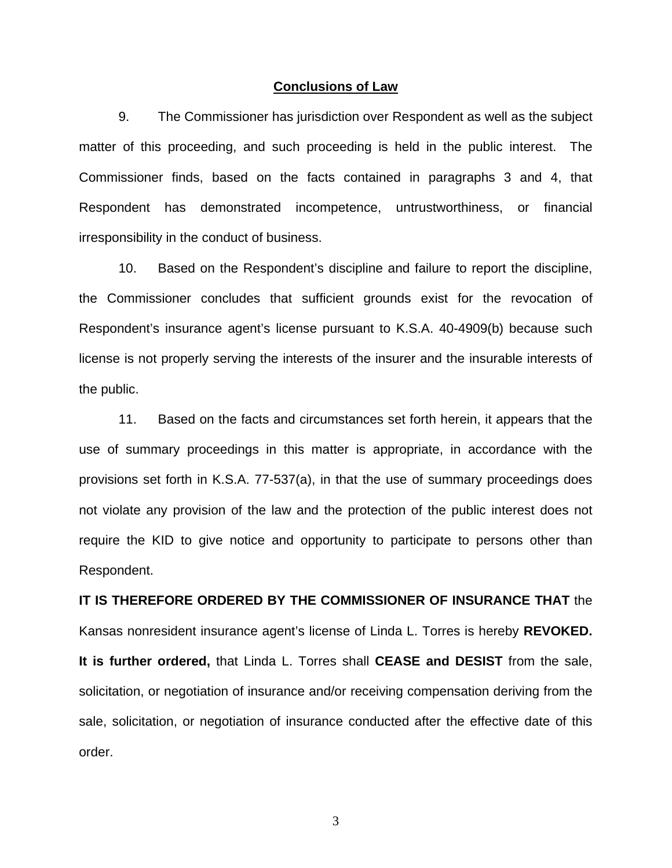#### **Conclusions of Law**

 9. The Commissioner has jurisdiction over Respondent as well as the subject matter of this proceeding, and such proceeding is held in the public interest. The Commissioner finds, based on the facts contained in paragraphs 3 and 4, that Respondent has demonstrated incompetence, untrustworthiness, or financial irresponsibility in the conduct of business.

 10. Based on the Respondent's discipline and failure to report the discipline, the Commissioner concludes that sufficient grounds exist for the revocation of Respondent's insurance agent's license pursuant to K.S.A. 40-4909(b) because such license is not properly serving the interests of the insurer and the insurable interests of the public.

 11. Based on the facts and circumstances set forth herein, it appears that the use of summary proceedings in this matter is appropriate, in accordance with the provisions set forth in K.S.A. 77-537(a), in that the use of summary proceedings does not violate any provision of the law and the protection of the public interest does not require the KID to give notice and opportunity to participate to persons other than Respondent.

# **IT IS THEREFORE ORDERED BY THE COMMISSIONER OF INSURANCE THAT** the Kansas nonresident insurance agent's license of Linda L. Torres is hereby **REVOKED. It is further ordered,** that Linda L. Torres shall **CEASE and DESIST** from the sale, solicitation, or negotiation of insurance and/or receiving compensation deriving from the sale, solicitation, or negotiation of insurance conducted after the effective date of this order.

3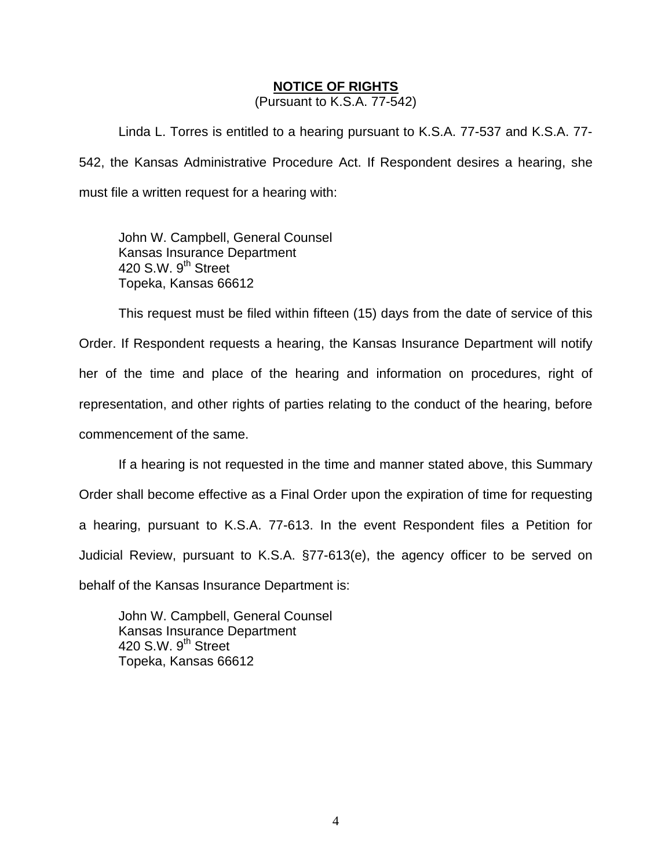#### **NOTICE OF RIGHTS**

(Pursuant to K.S.A. 77-542)

Linda L. Torres is entitled to a hearing pursuant to K.S.A. 77-537 and K.S.A. 77- 542, the Kansas Administrative Procedure Act. If Respondent desires a hearing, she must file a written request for a hearing with:

 John W. Campbell, General Counsel Kansas Insurance Department 420 S.W. 9<sup>th</sup> Street Topeka, Kansas 66612

This request must be filed within fifteen (15) days from the date of service of this Order. If Respondent requests a hearing, the Kansas Insurance Department will notify her of the time and place of the hearing and information on procedures, right of representation, and other rights of parties relating to the conduct of the hearing, before commencement of the same.

If a hearing is not requested in the time and manner stated above, this Summary Order shall become effective as a Final Order upon the expiration of time for requesting a hearing, pursuant to K.S.A. 77-613. In the event Respondent files a Petition for Judicial Review, pursuant to K.S.A. §77-613(e), the agency officer to be served on behalf of the Kansas Insurance Department is:

 John W. Campbell, General Counsel Kansas Insurance Department 420 S.W.  $9<sup>th</sup>$  Street Topeka, Kansas 66612